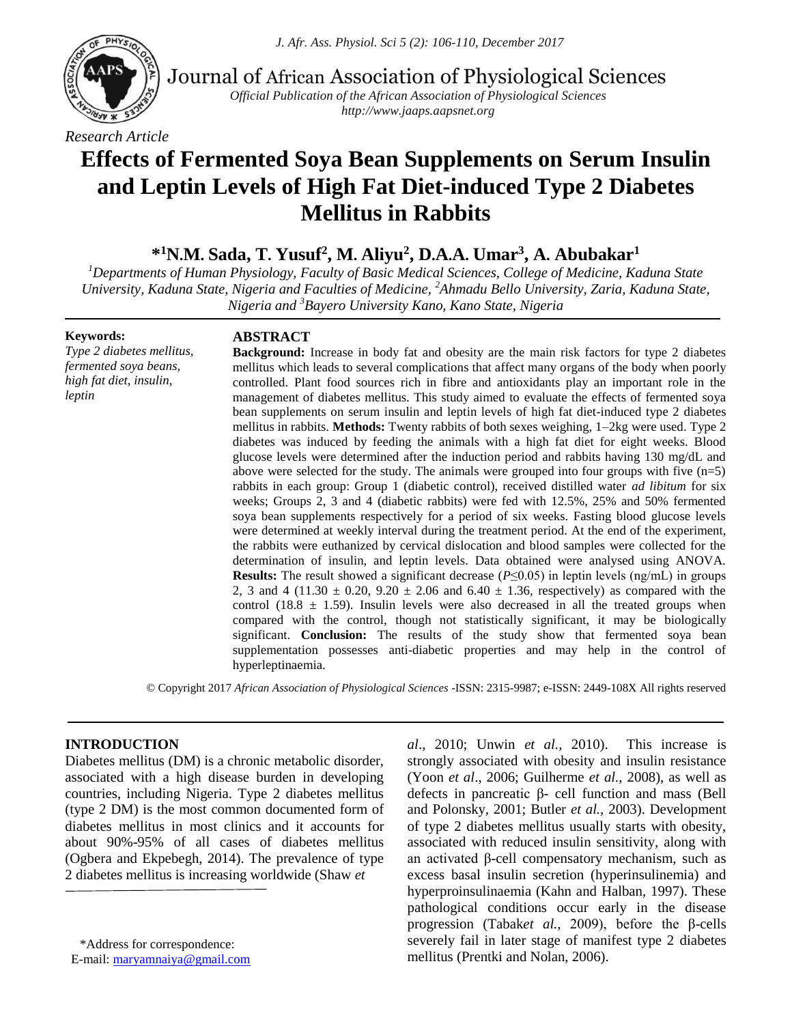

Journal of African Association of Physiological Sciences

*Official Publication of the African Association of Physiological Sciences http://www.jaaps.aapsnet.org*

# **Effects of Fermented Soya Bean Supplements on Serum Insulin and Leptin Levels of High Fat Diet-induced Type 2 Diabetes Mellitus in Rabbits**

\*<sup>1</sup>N.M. Sada, T. Yusuf<sup>2</sup>, M. Aliyu<sup>2</sup>, D.A.A. Umar<sup>3</sup>, A. Abubakar<sup>1</sup>

*<sup>1</sup>Departments of Human Physiology, Faculty of Basic Medical Sciences, College of Medicine, Kaduna State University, Kaduna State, Nigeria and Faculties of Medicine, <sup>2</sup>Ahmadu Bello University, Zaria, Kaduna State, Nigeria and <sup>3</sup>Bayero University Kano, Kano State, Nigeria*

#### **Keywords:**

*Type 2 diabetes mellitus, fermented soya beans, high fat diet, insulin, leptin*

## **ABSTRACT**

**Background:** Increase in body fat and obesity are the main risk factors for type 2 diabetes mellitus which leads to several complications that affect many organs of the body when poorly controlled. Plant food sources rich in fibre and antioxidants play an important role in the management of diabetes mellitus. This study aimed to evaluate the effects of fermented soya bean supplements on serum insulin and leptin levels of high fat diet-induced type 2 diabetes mellitus in rabbits. **Methods:** Twenty rabbits of both sexes weighing, 1–2kg were used. Type 2 diabetes was induced by feeding the animals with a high fat diet for eight weeks. Blood glucose levels were determined after the induction period and rabbits having 130 mg/dL and above were selected for the study. The animals were grouped into four groups with five (n=5) rabbits in each group: Group 1 (diabetic control), received distilled water *ad libitum* for six weeks; Groups 2, 3 and 4 (diabetic rabbits) were fed with 12.5%, 25% and 50% fermented soya bean supplements respectively for a period of six weeks. Fasting blood glucose levels were determined at weekly interval during the treatment period. At the end of the experiment, the rabbits were euthanized by cervical dislocation and blood samples were collected for the determination of insulin, and leptin levels. Data obtained were analysed using ANOVA. **Results:** The result showed a significant decrease ( $P \le 0.05$ ) in leptin levels (ng/mL) in groups 2, 3 and 4 (11.30  $\pm$  0.20, 9.20  $\pm$  2.06 and 6.40  $\pm$  1.36, respectively) as compared with the control (18.8  $\pm$  1.59). Insulin levels were also decreased in all the treated groups when compared with the control, though not statistically significant, it may be biologically significant. **Conclusion:** The results of the study show that fermented soya bean supplementation possesses anti-diabetic properties and may help in the control of hyperleptinaemia.

© Copyright 2017 *African Association of Physiological Sciences* -ISSN: 2315-9987; e-ISSN: 2449-108X All rights reserved

## **INTRODUCTION**

Diabetes mellitus (DM) is a chronic metabolic disorder, associated with a high disease burden in developing countries, including Nigeria. Type 2 diabetes mellitus (type 2 DM) is the most common documented form of diabetes mellitus in most clinics and it accounts for about 90%-95% of all cases of diabetes mellitus (Ogbera and Ekpebegh, 2014). The prevalence of type 2 diabetes mellitus is increasing worldwide (Shaw *et* 

\*Address for correspondence: E-mail: [maryamnaiya@gmail.com](mailto:maryamnaiya@gmail.com) *al*., 2010; Unwin *et al.,* 2010). This increase is strongly associated with obesity and insulin resistance (Yoon *et al*., 2006; Guilherme *et al.,* 2008), as well as defects in pancreatic β- cell function and mass (Bell and Polonsky, 2001; Butler *et al.,* 2003). Development of type 2 diabetes mellitus usually starts with obesity, associated with reduced insulin sensitivity, along with an activated β-cell compensatory mechanism, such as excess basal insulin secretion (hyperinsulinemia) and hyperproinsulinaemia (Kahn and Halban, 1997). These pathological conditions occur early in the disease progression (Tabak*et al.,* 2009), before the β-cells severely fail in later stage of manifest type 2 diabetes mellitus (Prentki and Nolan, 2006).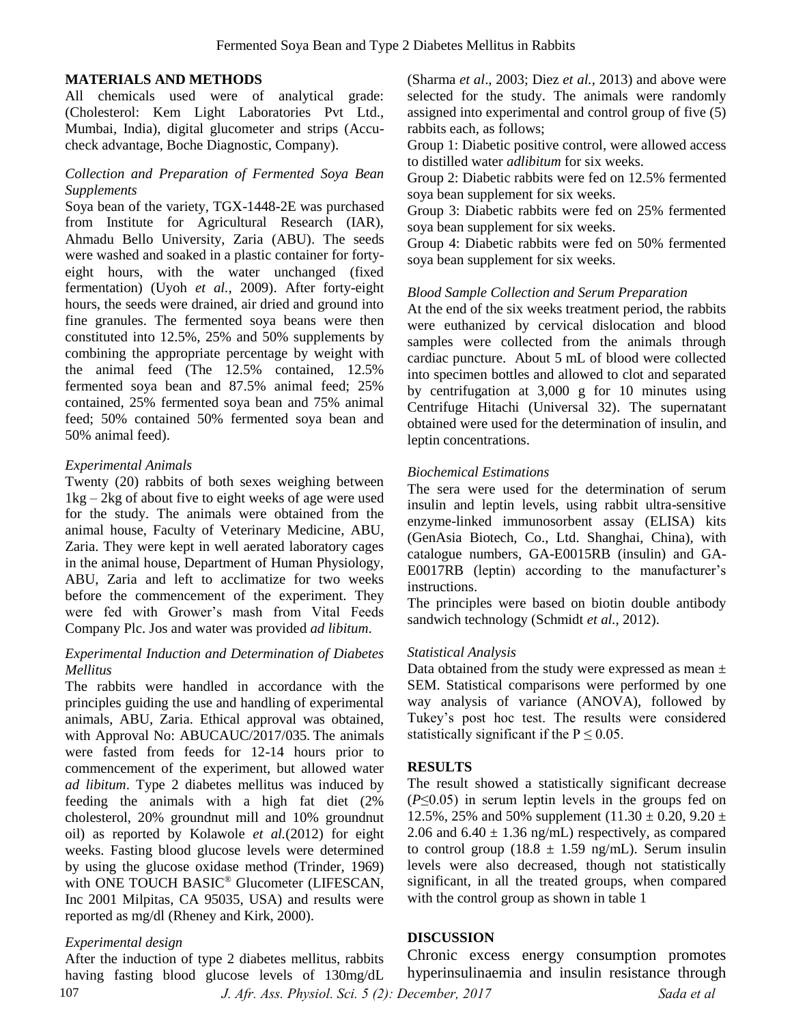### **MATERIALS AND METHODS**

All chemicals used were of analytical grade: (Cholesterol: Kem Light Laboratories Pvt Ltd., Mumbai, India), digital glucometer and strips (Accucheck advantage, Boche Diagnostic, Company).

## *Collection and Preparation of Fermented Soya Bean Supplements*

Soya bean of the variety, TGX-1448-2E was purchased from Institute for Agricultural Research (IAR), Ahmadu Bello University, Zaria (ABU). The seeds were washed and soaked in a plastic container for fortyeight hours, with the water unchanged (fixed fermentation) (Uyoh *et al.,* 2009). After forty-eight hours, the seeds were drained, air dried and ground into fine granules. The fermented soya beans were then constituted into 12.5%, 25% and 50% supplements by combining the appropriate percentage by weight with the animal feed (The 12.5% contained, 12.5% fermented soya bean and 87.5% animal feed; 25% contained, 25% fermented soya bean and 75% animal feed; 50% contained 50% fermented soya bean and 50% animal feed).

## *Experimental Animals*

Twenty (20) rabbits of both sexes weighing between  $1kg - 2kg$  of about five to eight weeks of age were used for the study. The animals were obtained from the animal house, Faculty of Veterinary Medicine, ABU, Zaria. They were kept in well aerated laboratory cages in the animal house, Department of Human Physiology, ABU, Zaria and left to acclimatize for two weeks before the commencement of the experiment. They were fed with Grower's mash from Vital Feeds Company Plc. Jos and water was provided *ad libitum*.

## *Experimental Induction and Determination of Diabetes Mellitus*

The rabbits were handled in accordance with the principles guiding the use and handling of experimental animals, ABU, Zaria. Ethical approval was obtained, with Approval No: ABUCAUC/2017/035**.** The animals were fasted from feeds for 12-14 hours prior to commencement of the experiment, but allowed water *ad libitum*. Type 2 diabetes mellitus was induced by feeding the animals with a high fat diet (2% cholesterol, 20% groundnut mill and 10% groundnut oil) as reported by Kolawole *et al.*(2012) for eight weeks. Fasting blood glucose levels were determined by using the glucose oxidase method (Trinder, 1969) with ONE TOUCH BASIC<sup>®</sup> Glucometer (LIFESCAN, Inc 2001 Milpitas, CA 95035, USA) and results were reported as mg/dl (Rheney and Kirk, 2000).

# *Experimental design*

After the induction of type 2 diabetes mellitus, rabbits having fasting blood glucose levels of 130mg/dL 107

(Sharma *et al*., 2003; Diez *et al.,* 2013) and above were selected for the study. The animals were randomly assigned into experimental and control group of five (5) rabbits each, as follows;

Group 1: Diabetic positive control, were allowed access to distilled water *adlibitum* for six weeks.

Group 2: Diabetic rabbits were fed on 12.5% fermented soya bean supplement for six weeks.

Group 3: Diabetic rabbits were fed on 25% fermented soya bean supplement for six weeks.

Group 4: Diabetic rabbits were fed on 50% fermented soya bean supplement for six weeks.

#### *Blood Sample Collection and Serum Preparation*

At the end of the six weeks treatment period, the rabbits were euthanized by cervical dislocation and blood samples were collected from the animals through cardiac puncture. About 5 mL of blood were collected into specimen bottles and allowed to clot and separated by centrifugation at 3,000 g for 10 minutes using Centrifuge Hitachi (Universal 32). The supernatant obtained were used for the determination of insulin, and leptin concentrations.

## *Biochemical Estimations*

The sera were used for the determination of serum insulin and leptin levels, using rabbit ultra-sensitive enzyme-linked immunosorbent assay (ELISA) kits (GenAsia Biotech, Co., Ltd. Shanghai, China), with catalogue numbers, GA-E0015RB (insulin) and GA-E0017RB (leptin) according to the manufacturer's instructions.

The principles were based on biotin double antibody sandwich technology (Schmidt *et al.,* 2012).

## *Statistical Analysis*

Data obtained from the study were expressed as mean  $\pm$ SEM. Statistical comparisons were performed by one way analysis of variance (ANOVA), followed by Tukey's post hoc test. The results were considered statistically significant if the  $P \le 0.05$ .

## **RESULTS**

The result showed a statistically significant decrease (*P*≤0.05) in serum leptin levels in the groups fed on 12.5%, 25% and 50% supplement  $(11.30 \pm 0.20, 9.20 \pm 0.20)$ 2.06 and  $6.40 \pm 1.36$  ng/mL) respectively, as compared to control group (18.8  $\pm$  1.59 ng/mL). Serum insulin levels were also decreased, though not statistically significant, in all the treated groups, when compared with the control group as shown in table 1

## **DISCUSSION**

 *J. Afr. Ass. Physiol. Sci. 5 (2): December, 2017 Sada et al*  Chronic excess energy consumption promotes hyperinsulinaemia and insulin resistance through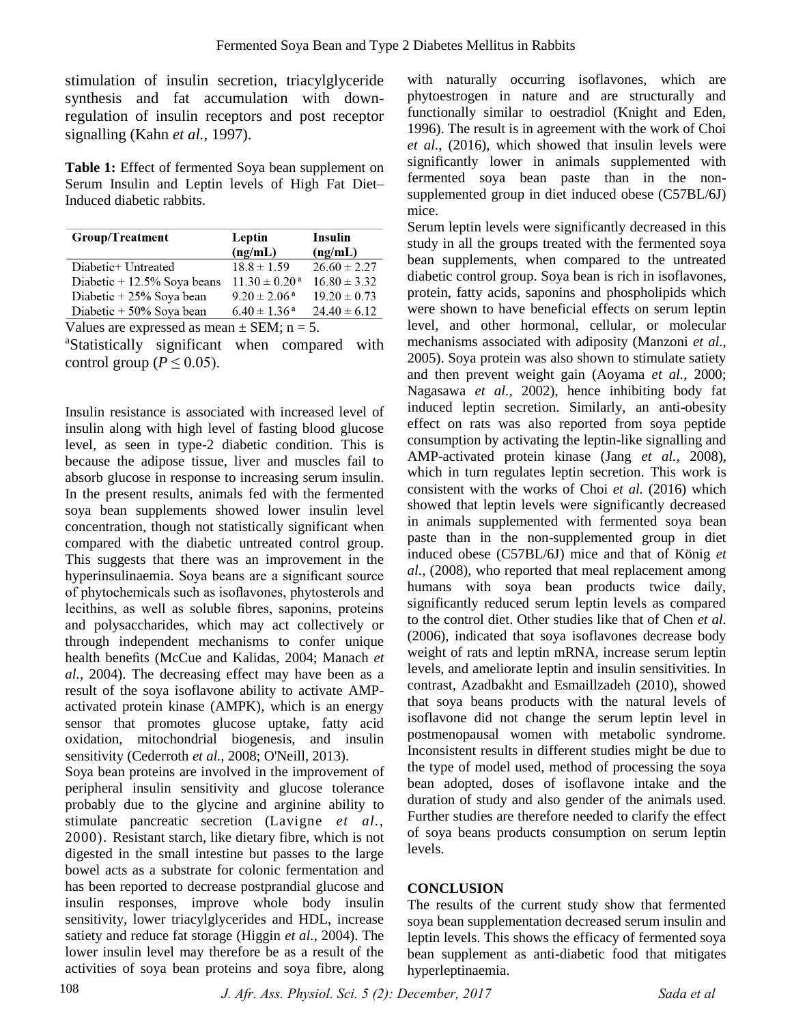stimulation of insulin secretion, triacylglyceride synthesis and fat accumulation with downregulation of insulin receptors and post receptor signalling (Kahn *et al.,* 1997).

**Table 1:** Effect of fermented Soya bean supplement on Serum Insulin and Leptin levels of High Fat Diet– Induced diabetic rabbits.

| <b>Group/Treatment</b>         | Leptin                        | Insulin          |
|--------------------------------|-------------------------------|------------------|
|                                | (ng/mL)                       | (ng/mL)          |
| Diabetic+ Untreated            | $18.8 \pm 1.59$               | $26.60 \pm 2.27$ |
| Diabetic $+ 12.5\%$ Soya beans | $11.30 \pm 0.20$ <sup>a</sup> | $16.80 \pm 3.32$ |
| Diabetic + 25% Soya bean       | $9.20 \pm 2.06^{\text{ a}}$   | $19.20 \pm 0.73$ |
| Diabetic + 50% Soya bean       | $6.40 \pm 1.36$ <sup>a</sup>  | $24.40 \pm 6.12$ |

Values are expressed as mean  $\pm$  SEM; n = 5.

<sup>a</sup>Statistically significant when compared with control group ( $P \leq 0.05$ ).

Insulin resistance is associated with increased level of insulin along with high level of fasting blood glucose level, as seen in type-2 diabetic condition. This is because the adipose tissue, liver and muscles fail to absorb glucose in response to increasing serum insulin. In the present results, animals fed with the fermented soya bean supplements showed lower insulin level concentration, though not statistically significant when compared with the diabetic untreated control group. This suggests that there was an improvement in the hyperinsulinaemia. Soya beans are a significant source of phytochemicals such as isoflavones, phytosterols and lecithins, as well as soluble fibres, saponins, proteins and polysaccharides, which may act collectively or through independent mechanisms to confer unique health benefits (McCue and Kalidas, 2004; Manach *et al.,* 2004). The decreasing effect may have been as a result of the soya isoflavone ability to activate AMPactivated protein kinase (AMPK), which is an energy sensor that promotes glucose uptake, fatty acid oxidation, mitochondrial biogenesis, and insulin sensitivity (Cederroth *et al.,* 2008; O'Neill, 2013).

Soya bean proteins are involved in the improvement of peripheral insulin sensitivity and glucose tolerance probably due to the glycine and arginine ability to stimulate pancreatic secretion (Lavigne *et al.,* 2000). Resistant starch, like dietary fibre, which is not digested in the small intestine but passes to the large bowel acts as a substrate for colonic fermentation and has been reported to decrease postprandial glucose and insulin responses, improve whole body insulin sensitivity, lower triacylglycerides and HDL, increase satiety and reduce fat storage (Higgin *et al.,* 2004). The lower insulin level may therefore be as a result of the activities of soya bean proteins and soya fibre, along

with naturally occurring isoflavones, which are phytoestrogen in nature and are structurally and functionally similar to oestradiol (Knight and Eden, 1996). The result is in agreement with the work of Choi *et al.,* (2016), which showed that insulin levels were significantly lower in animals supplemented with fermented soya bean paste than in the nonsupplemented group in diet induced obese (C57BL/6J) mice.

Serum leptin levels were significantly decreased in this study in all the groups treated with the fermented soya bean supplements, when compared to the untreated diabetic control group. Soya bean is rich in isoflavones, protein, fatty acids, saponins and phospholipids which were shown to have beneficial effects on serum leptin level, and other hormonal, cellular, or molecular mechanisms associated with adiposity (Manzoni *et al.,* 2005). Soya protein was also shown to stimulate satiety and then prevent weight gain (Aoyama *et al.,* 2000; Nagasawa *et al.,* 2002), hence inhibiting body fat induced leptin secretion. Similarly, an anti-obesity effect on rats was also reported from soya peptide consumption by activating the leptin-like signalling and AMP-activated protein kinase (Jang *et al.,* 2008), which in turn regulates leptin secretion. This work is consistent with the works of Choi *et al.* (2016) which showed that leptin levels were significantly decreased in animals supplemented with fermented soya bean paste than in the non-supplemented group in diet induced obese (C57BL/6J) mice and that of König *et al.,* (2008), who reported that meal replacement among humans with soya bean products twice daily, significantly reduced serum leptin levels as compared to the control diet. Other studies like that of Chen *et al.* (2006), indicated that soya isoflavones decrease body weight of rats and leptin mRNA, increase serum leptin levels, and ameliorate leptin and insulin sensitivities. In contrast, Azadbakht and Esmaillzadeh (2010), showed that soya beans products with the natural levels of isoflavone did not change the serum leptin level in postmenopausal women with metabolic syndrome. Inconsistent results in different studies might be due to the type of model used, method of processing the soya bean adopted, doses of isoflavone intake and the duration of study and also gender of the animals used. Further studies are therefore needed to clarify the effect of soya beans products consumption on serum leptin levels.

# **CONCLUSION**

The results of the current study show that fermented soya bean supplementation decreased serum insulin and leptin levels. This shows the efficacy of fermented soya bean supplement as anti-diabetic food that mitigates hyperleptinaemia.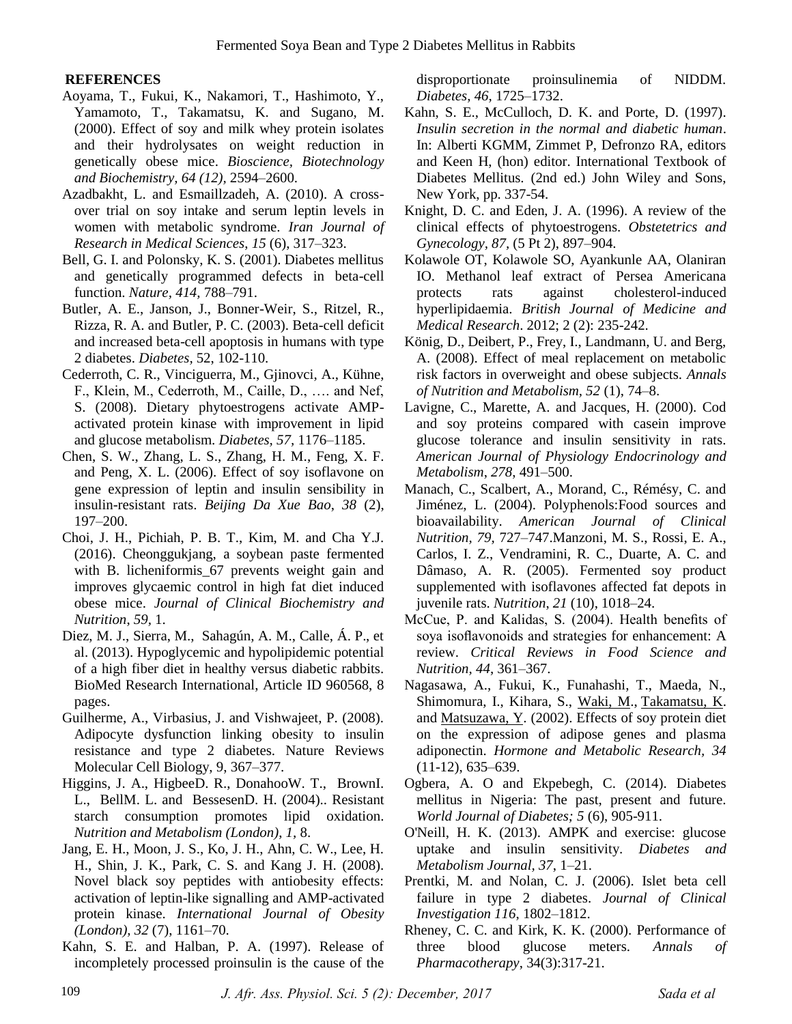## **REFERENCES**

- Aoyama, T., Fukui, K., Nakamori, T., Hashimoto, Y., Yamamoto, T., Takamatsu, K. and Sugano, M. (2000). Effect of soy and milk whey protein isolates and their hydrolysates on weight reduction in genetically obese mice. *Bioscience, Biotechnology and Biochemistry, 64 (12),* 2594–2600.
- Azadbakht, L. and Esmaillzadeh, A. (2010). A crossover trial on soy intake and serum leptin levels in women with metabolic syndrome. *Iran Journal of Research in Medical Sciences*, *15* (6), 317–323.
- Bell, G. I. and Polonsky, K. S. (2001). Diabetes mellitus and genetically programmed defects in beta-cell function. *Nature, 414,* 788–791.
- Butler, A. E., Janson, J., Bonner-Weir, S., Ritzel, R., Rizza, R. A. and Butler, P. C. (2003). Beta-cell deficit and increased beta-cell apoptosis in humans with type 2 diabetes. *Diabetes,* 52, 102-110.
- Cederroth, C. R., Vinciguerra, M., Gjinovci, A., Kühne, F., Klein, M., Cederroth, M., Caille, D., …. and Nef, S. (2008). Dietary phytoestrogens activate AMPactivated protein kinase with improvement in lipid and glucose metabolism. *Diabetes, 57,* 1176–1185.
- Chen, S. W., Zhang, L. S., Zhang, H. M., Feng, X. F. and Peng, X. L. (2006). Effect of soy isoflavone on gene expression of leptin and insulin sensibility in insulin-resistant rats. *Beijing Da Xue Bao*, *38* (2), 197–200.
- Choi, J. H., Pichiah, P. B. T., Kim, M. and Cha Y.J. (2016). Cheonggukjang, a soybean paste fermented with B. licheniformis\_67 prevents weight gain and improves glycaemic control in high fat diet induced obese mice. *Journal of Clinical Biochemistry and Nutrition*, *59,* 1.
- Diez, M. J., Sierra, M., Sahagún, A. M., Calle, Á. P., et al. (2013). Hypoglycemic and hypolipidemic potential of a high fiber diet in healthy versus diabetic rabbits. BioMed Research International, Article ID 960568, 8 pages.
- Guilherme, A., Virbasius, J. and Vishwajeet, P. (2008). Adipocyte dysfunction linking obesity to insulin resistance and type 2 diabetes. Nature Reviews Molecular Cell Biology, 9, 367–377.
- [Higgins,](https://www.ncbi.nlm.nih.gov/pubmed/?term=Higgins%20JA%5BAuthor%5D&cauthor=true&cauthor_uid=15507129) J. A., [HigbeeD](https://www.ncbi.nlm.nih.gov/pubmed/?term=Higbee%20DR%5BAuthor%5D&cauthor=true&cauthor_uid=15507129). R., [DonahooW](https://www.ncbi.nlm.nih.gov/pubmed/?term=Donahoo%20WT%5BAuthor%5D&cauthor=true&cauthor_uid=15507129). T., [BrownI](https://www.ncbi.nlm.nih.gov/pubmed/?term=Brown%20IL%5BAuthor%5D&cauthor=true&cauthor_uid=15507129). L., [BellM](https://www.ncbi.nlm.nih.gov/pubmed/?term=Bell%20ML%5BAuthor%5D&cauthor=true&cauthor_uid=15507129). L. and [BessesenD](https://www.ncbi.nlm.nih.gov/pubmed/?term=Bessesen%20DH%5BAuthor%5D&cauthor=true&cauthor_uid=15507129). H. (2004).. Resistant starch consumption promotes lipid oxidation. *[Nutrition and Metabolism \(London\)](https://www.ncbi.nlm.nih.gov/pmc/articles/PMC526391/)*, *1,* 8.
- Jang, E. H., Moon, J. S., Ko, J. H., Ahn, C. W., Lee, H. H., Shin, J. K., Park, C. S. and Kang J. H. (2008). Novel black soy peptides with antiobesity effects: activation of leptin-like signalling and AMP-activated protein kinase. *International Journal of Obesity (London), 32* (7), 1161–70.
- Kahn, S. E. and Halban, P. A. (1997). Release of incompletely processed proinsulin is the cause of the

disproportionate proinsulinemia of NIDDM. *Diabetes, 46,* 1725–1732.

- Kahn, S. E., McCulloch, D. K. and Porte, D. (1997). *Insulin secretion in the normal and diabetic human*. In: Alberti KGMM, Zimmet P, Defronzo RA, editors and Keen H, (hon) editor. International Textbook of Diabetes Mellitus. (2nd ed.) John Wiley and Sons, New York, pp. 337-54.
- Knight, D. C. and Eden, J. A. (1996). A review of the clinical effects of phytoestrogens. *Obstetetrics and Gynecology, 87,* (5 Pt 2), 897–904.
- Kolawole OT, Kolawole SO, Ayankunle AA, Olaniran IO. Methanol leaf extract of Persea Americana protects rats against cholesterol-induced hyperlipidaemia. *British Journal of Medicine and Medical Research*. 2012; 2 (2): 235-242.
- König, D., Deibert, P., Frey, I., Landmann, U. and Berg, A. (2008). Effect of meal replacement on metabolic risk factors in overweight and obese subjects. *Annals of Nutrition and Metabolism, 52* (1), 74–8.
- Lavigne, C., Marette, A. and Jacques, H. (2000). Cod and soy proteins compared with casein improve glucose tolerance and insulin sensitivity in rats. *American Journal of Physiology Endocrinology and Metabolism*, *278*, 491–500.
- Manach, C., Scalbert, A., Morand, C., Rémésy, C. and Jiménez, L. (2004). Polyphenols:Food sources and bioavailability. *American Journal of Clinical Nutrition, 79,* 727–747.Manzoni, M. S., Rossi, E. A., Carlos, I. Z., Vendramini, R. C., Duarte, A. C. and Dâmaso, A. R. (2005). Fermented soy product supplemented with isoflavones affected fat depots in juvenile rats. *Nutrition*, *21* (10), 1018–24.
- McCue, P. and Kalidas, S. (2004). Health benefits of soya isoflavonoids and strategies for enhancement: A review. *Critical Reviews in Food Science and Nutrition, 44*, 361–367.
- Nagasawa, A., Fukui, K., Funahashi, T., Maeda, N., Shimomura, I., Kihara, S., [Waki, M.](https://www.ncbi.nlm.nih.gov/pubmed/?term=Waki%20M%5BAuthor%5D&cauthor=true&cauthor_uid=12660873), [Takamatsu, K.](https://www.ncbi.nlm.nih.gov/pubmed/?term=Takamatsu%20K%5BAuthor%5D&cauthor=true&cauthor_uid=12660873) and [Matsuzawa, Y.](https://www.ncbi.nlm.nih.gov/pubmed/?term=Matsuzawa%20Y%5BAuthor%5D&cauthor=true&cauthor_uid=12660873) (2002). Effects of soy protein diet on the expression of adipose genes and plasma adiponectin. *Hormone and Metabolic Research, 34*  (11-12), 635–639.
- Ogbera, A. O and Ekpebegh, C. (2014). Diabetes mellitus in Nigeria: The past, present and future. *World Journal of Diabetes; 5* (6), 905-911.
- O'Neill, H. K. (2013). AMPK and exercise: glucose uptake and insulin sensitivity. *Diabetes and Metabolism Journal, 37*, 1–21.
- Prentki, M. and Nolan, C. J. (2006). Islet beta cell failure in type 2 diabetes. *Journal of Clinical Investigation 116*, 1802–1812.
- Rheney, C. C. and Kirk, K. K. (2000). Performance of three blood glucose meters. *Annals of Pharmacotherapy*, 34(3):317-21.